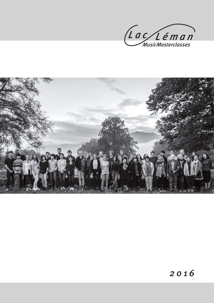

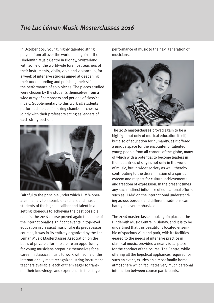# *The Lac Léman Music Masterclasses 2016*

In October 2016 young, highly talented string players from all over the world met again at the Hindemith Music Centre in Blonay, Switzerland, with some of the worldwide foremost teachers of their instruments, violin, viola and violoncello, for a week of intensive studies aimed at deepening their understanding and polishing their skills in the performance of solo pieces. The pieces studied were chosen by the students themselves from a wide array of composers and periods of classical music. Supplementary to this work all students performed a piece for string chamber orchestra jointly with their professors acting as leaders of each string section.



Faithful to the principle under which LLMM operates, namely to assemble teachers and music students of the highest caliber and talent in a setting idoneous to achieving the best possible results, the 2016 course proved again to be one of the internationally significant events in top-level education in classical music. Like its predecessor courses, it was in its entirety organized by the Lac Léman Music Masterclasses Association on the basis of private efforts to create an opportunity for young musicians preparing themselves for a career in classical music to work with some of the internationally most recognized string instrument teachers available, each of them eager to transmit their knowledge and experience in the stage

performance of music to the next generation of musicians.



The 2016 masterclasses proved again to be a highlight not only of musical education itself, but also of education for humanity, as it offered a unique space for the encounter of talented young people from all corners of the globe, many of which with a potential to become leaders in their countries of origin, not only in the world of music, but in wider society as well, thereby contributing to the dissemination of a spirit of esteem and respect for cultural achievements and freedom of expression. In the present times any such indirect influence of educational efforts such as LLMM on the international understanding across borders and different traditions can hardly be overemphasized.

The 2016 masterclasses took again place at the Hindemith Music Centre in Blonay, and it is to be underlined that this beautifully located ensemble of spacious villa and park, with its facilities geared to the needs of intensive practice in classical music, provided a nearly ideal place for the conduct of the course. The Centre, while offering all the logistical appliances required for such an event, exudes an almost family-home atmosphere which facilitates very much personal interaction between course participants.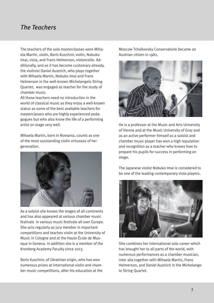## *The Teachers*

The teachers of the solo masterclasses were Mihaela Martin, violin, Boris Kuschnir, violin, Nobuko Imai, viola, and Frans Helmerson, violoncello. Additionally, and as it has become customary already, the violinist Daniel Austrich, who plays together with Mihaela Martin, Nobuko Imai and Frans Helmerson in the well-known Michelangelo String Quartet, was engaged as teacher for the study of chamber music.

All these teachers need no introduction in the world of classical music as they enjoy a well-known status as some of the best available teachers for masterclasses who are highly experienced pedagogues but who also know the life of a performing artist on stage very well.

Mihaela Martin, born in Romania, counts as one of the most outstanding violin virtuosos of her generation.



As a soloist she knows the stages of all continents and has also appeared at various chamber music festivals in various music festivals all over Europe. She acts regularly as jury member in important competitions and teaches violin at the University of Music in Cologne and at the Haute École de Musique in Geneva. In addition she is a member of the Kronberg Academy Faculty since 2013.

Boris Kuschnir, of Ukrainian origin, who has won numerous prizes at international violin and chamber music competitions, after his education at the

Moscow Tchaikovsky Conservatoire became an Austrian citizen in 1982.



He is a professor at the Music and Arts University of Vienna and at the Music University of Graz and as an active performer himself as a soloist and chamber music player has won a high reputation and recognition as a teacher who knows how to prepare his pupils for success in performing on stage.

The Japanese violist Nobuko Imai is considered to be one of the leading contemporary viola players.



She combines her international solo career which has brought her to all parts of the world, with numerous performances as a chamber musician, inter alia together with Mihaela Martin, Frans Helmerson, and Daniel Austrich in the Michelangelo String Quartet.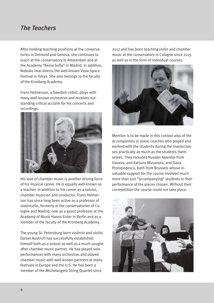## *The Teachers*

After holding teaching positions at the conservatories in Detmold and Geneva, she continues to teach at the conservatory in Amsterdam and at the Academy "Reina Sofia" in Madrid. In addition, Nobuko Imai directs the well-known Viola Space Festival in Tokyo. She also belongs to the faculty of the Kronberg Academy.

Frans Helmerson, a Swedish cellist, plays with many well-known orchestras and receives outstanding critical acclaim for his concerts and recordings.



His love of chamber music is another driving force of his musical career. He is equally well-known as a teacher. In addition to his career as a soloist, chamber musician and conductor, Frans Helmerson has since long been active as a professor of violoncello, formerly at the conservatories of Cologne and Madrid, now as a guest professor at the Academy of Music Hanns Eisler in Berlin and as a member of the faculty of the Kronberg Academy.

The young St. Petersburg-born violinist and violist Daniel Austrich has successfully established himself both as a soloist as well as a much soughtafter chamber music partner. He has played solo performances with many orchestras and played chamber music with well-known partners at many festivals in Europe and the U.S. He has been a member of the Michelangelo String Quartet since

2012 and has been teaching violin and chamber music at the conservatory in Cologne since 2015 as well as in the form of individual courses.



Mention is to be made in this context also of the accompanists or piano coaches who played and worked with the students during the masterclasses practically as much as the students themselves. They included Rusdan Alavidze from Geneva, and Katsura Mizumoto, and Dana Protopodescu, both from Brussels whose invaluable support for the course involved much more than just "accompanying" students in their performance of the pieces chosen. Without their correpetition the course could not take place.

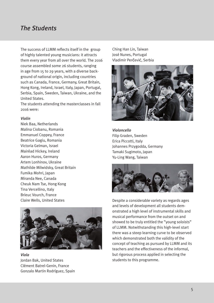### *The Students*

The success of LLMM reflects itself in the group of highly talented young musicians: it attracts them every year from all over the world. The 2016 course assembled some 26 students, ranging in age from 15 to 29 years, with a diverse background of national origin, including countries such as Canada, France, Germany, Great Britain, Hong Kong, Ireland, Israel, Italy, Japan, Portugal, Serbia, Spain, Sweden, Taiwan, Ukraine, and the United States.

The students attending the masterclasses in fall 2016 were:

#### *Violin*

Niek Baa, Netherlands Malina Ciobanu, Romania Emmanuel Coppey, France Beatrice Gagiu, Romania Victoria Gelman, Israel Mairéad Hickey, Ireland Aaron Huros, Germany Artem Lonhinov, Ukraine Mathilde Milwidsky, Great Britain Fumika Mohri, Japan Miranda Nee, Canada Cheuk Nam Tse, Hong Kong Tina Vercellino, Italy Brieuc Vourch, France Claire Wells, United States



*Viola* Jordan Bak, United States Clément Batrel-Genin, France Gonzalo Martin Rodríguez, Spain

Ching Han Lin, Taiwan José Nunes, Portugal Vladimir Perčević, Serbia



*Violoncello* Filip Graden, Sweden Erica Piccotti, Italy Johannes Przygodda, Germany Tamaki Sugimoto, Japan Yu-Ling Wang, Taiwan



Despite a considerable variety as regards ages and levels of development all students demonstrated a high level of instrumental skills and musical performance from the outset on and showed to be truly entitled the "young soloists" of LLMM. Notwithstanding this high-level start there was a steep learning curve to be observed which demonstrated both the validity of the concept of teaching as pursued by LLMM and its teachers and the effectiveness of the informal, but rigorous process applied in selecting the students to this programme.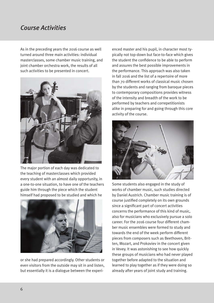## *Course Activities*

As in the preceding years the 2016 course as well turned around three main activities: individual masterclasses, some chamber music training, and joint chamber orchestra work, the results of all such activities to be presented in concert.



The major portion of each day was dedicated to the teaching of masterclasses which provided every student with an almost daily opportunity, in a one-to-one situation, to have one of the teachers guide him through the piece which the student himself had proposed to be studied and which he



or she had prepared accordingly. Other students or even visitors from the outside may sit in and listen, but essentially it is a dialogue between the experienced master and his pupil, in character most typically not top-down but face-to-face which gives the student the confidence to be able to perform and assures the best possible improvements in the performance. This approach was also taken in fall 2016 and the list of a repertoire of more than 70 different works of classical music chosen by the students and ranging from baroque pieces to contemporary compositions provides witness of the intensity and breadth of the work to be performed by teachers and correpetitionists alike in preparing for and going through this core activity of the course.



Some students also engaged in the study of works of chamber music, such studies directed by Daniel Austrich. Chamber music training is of course justified completely on its own grounds since a significant part of concert activities concerns the performance of this kind of music, also for musicians who exclusively pursue a solo career. For the 2016 course four different chamber music ensembles were formed to study and towards the end of the week perform different pieces from composers such as Beethoven, Britten, Mozart, and Prokoviev in the concert given in Vevey. It was astonishing to see how quickly these groups of musicians who had never played together before adapted to the situation and learned to play together as if they were doing so already after years of joint study and training.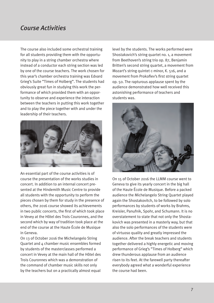## *Course Activities*

The course also included some orchestral training for all students providing them with the opportunity to play in a string chamber orchestra where instead of a conductor each string section was led by one of the course teachers. The work chosen for this year's chamber orchestra training was Edvard Grieg's Suite "Times of Holberg". The students had obviously great fun in studying this work the performance of which provided them with an opportunity to observe and experience the interaction between the teachers in putting this work together and to play the piece together with and under the leadership of their teachers.



An essential part of the course activities is of course the presentation of the works studies in concert. In addition to an internal concert presented at the Hindemith Music Centre to provide all students with the opportunity to perform the pieces chosen by them for study in the presence of others, the 2016 course showed its achievements in two public concerts, the first of which took place in Vevey at the Hôtel des Trois Couronnes, and the second which by way of tradition took place at the end of the course at the Haute École de Musique in Geneva.

On 13 of October 2016 the Michelangelo String Quartet and 4 chamber music ensembles formed by students of the masterclasses performed a concert in Vevey at the main hall of the Hôtel des Trois Couronnes which was a demonstration of the command of chamber music skills not only by the teachers but on a practically almost equal

level by the students. The works performed were Shostakovich's string quartet no. 1, a movement from Beethoven's string trio op. 87, Benjamin Britten's second string quartet, a movement from Mozart's string quintet c-minor, K. 516, and a movement from Prokofiev's first string quartet op. 50. The rapturous applause spent by the audience demonstrated how well received this astonishing performance of teachers and students was.



On 15 of October 2016 the LLMM course went to Geneva to give its yearly concert in the big hall of the Haute École de Musique. Before a packed audience the Michelangelo String Quartet played again the Shostakovitch, to be followed by solo performances by students of works by Brahms, Kreisler, Panufnik, Spohr, and Schumann. It is no overstatement to state that not only the Shostakovich was presented in a masterly way, but that also the solo performances of the students were of virtuoso quality and greatly impressed the audience. After the break teachers and students together delivered a highly energetic and moving performance of Grieg's "Times of Holberg" which drew thunderous applause from an audience risen to its feet. At the farewell party thereafter everybody agreed what a wonderful experience the course had been.